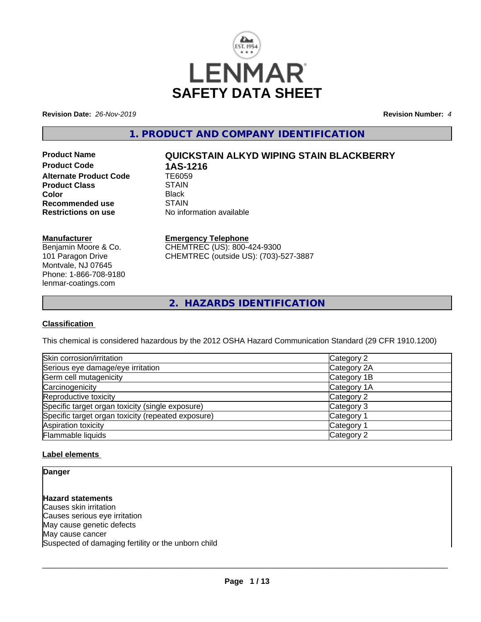

**Revision Date:** *26-Nov-2019* **Revision Number:** *4*

**1. PRODUCT AND COMPANY IDENTIFICATION**

**Product Code 1AS-1216**<br>Alternate Product Code 1E6059 **Alternate Product Code TE6059**<br>Product Class STAIN **Product Class** STAIN<br> **Color** Black **Color** Black **Recommended use** STAIN<br> **Restrictions on use** No info

# **Product Name QUICKSTAIN ALKYD WIPING STAIN BLACKBERRY**

**No information available** 

### **Manufacturer**

Benjamin Moore & Co. 101 Paragon Drive Montvale, NJ 07645 Phone: 1-866-708-9180 lenmar-coatings.com

## **Emergency Telephone**

CHEMTREC (US): 800-424-9300 CHEMTREC (outside US): (703)-527-3887

**2. HAZARDS IDENTIFICATION**

## **Classification**

This chemical is considered hazardous by the 2012 OSHA Hazard Communication Standard (29 CFR 1910.1200)

| Skin corrosion/irritation                          | Category 2            |
|----------------------------------------------------|-----------------------|
| Serious eye damage/eye irritation                  | Category 2A           |
| Germ cell mutagenicity                             | Category 1B           |
| Carcinogenicity                                    | Category 1A           |
| Reproductive toxicity                              | Category 2            |
| Specific target organ toxicity (single exposure)   | Category 3            |
| Specific target organ toxicity (repeated exposure) | Category 1            |
| Aspiration toxicity                                | Category <sup>2</sup> |
| Flammable liquids                                  | Category 2            |

## **Label elements**

**Danger**

**Hazard statements** Causes skin irritation Causes serious eye irritation May cause genetic defects May cause cancer Suspected of damaging fertility or the unborn child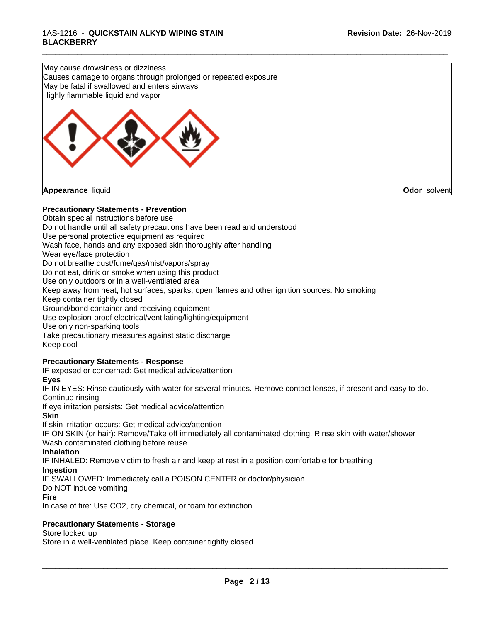May cause drowsiness or dizziness Causes damage to organs through prolonged or repeated exposure May be fatal if swallowed and enters airways Highly flammable liquid and vapor



## **Precautionary Statements - Prevention**

Obtain special instructions before use Do not handle until all safety precautions have been read and understood Use personal protective equipment as required Wash face, hands and any exposed skin thoroughly after handling Wear eye/face protection Do not breathe dust/fume/gas/mist/vapors/spray Do not eat, drink or smoke when using this product Use only outdoors or in a well-ventilated area Keep away from heat, hot surfaces, sparks, open flames and other ignition sources. No smoking Keep container tightly closed Ground/bond container and receiving equipment Use explosion-proof electrical/ventilating/lighting/equipment Use only non-sparking tools Take precautionary measures against static discharge Keep cool **Precautionary Statements - Response**

\_\_\_\_\_\_\_\_\_\_\_\_\_\_\_\_\_\_\_\_\_\_\_\_\_\_\_\_\_\_\_\_\_\_\_\_\_\_\_\_\_\_\_\_\_\_\_\_\_\_\_\_\_\_\_\_\_\_\_\_\_\_\_\_\_\_\_\_\_\_\_\_\_\_\_\_\_\_\_\_\_\_\_\_\_\_\_\_\_\_\_\_\_

IF exposed or concerned: Get medical advice/attention

## **Eyes**

IF IN EYES: Rinse cautiously with water for several minutes. Remove contact lenses, if present and easy to do. Continue rinsing

If eye irritation persists: Get medical advice/attention

#### **Skin**

If skin irritation occurs: Get medical advice/attention

IF ON SKIN (or hair): Remove/Take off immediately all contaminated clothing. Rinse skin with water/shower Wash contaminated clothing before reuse

#### **Inhalation**

IF INHALED: Remove victim to fresh air and keep atrest in a position comfortable for breathing

#### **Ingestion**

IF SWALLOWED: Immediately call a POISON CENTER or doctor/physician

#### Do NOT induce vomiting

**Fire**

In case of fire: Use CO2, dry chemical, or foam for extinction

## **Precautionary Statements - Storage**

#### Store locked up

Store in a well-ventilated place. Keep container tightly closed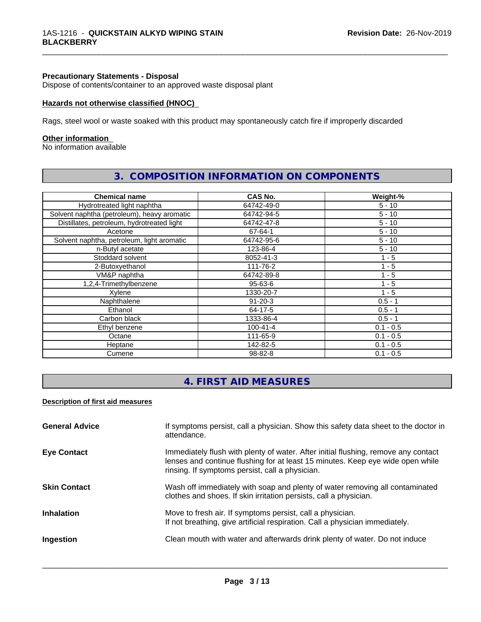#### **Precautionary Statements - Disposal**

Dispose of contents/container to an approved waste disposal plant

#### **Hazards not otherwise classified (HNOC)**

Rags, steel wool or waste soaked with this product may spontaneously catch fire if improperly discarded

#### **Other information**

No information available

| <b>Chemical name</b>                        | CAS No.        | Weight-%    |
|---------------------------------------------|----------------|-------------|
| Hydrotreated light naphtha                  | 64742-49-0     | $5 - 10$    |
| Solvent naphtha (petroleum), heavy aromatic | 64742-94-5     | $5 - 10$    |
| Distillates, petroleum, hydrotreated light  | 64742-47-8     | $5 - 10$    |
| Acetone                                     | 67-64-1        | $5 - 10$    |
| Solvent naphtha, petroleum, light aromatic  | 64742-95-6     | $5 - 10$    |
| n-Butyl acetate                             | 123-86-4       | $5 - 10$    |
| Stoddard solvent                            | 8052-41-3      | $1 - 5$     |
| 2-Butoxyethanol                             | 111-76-2       | $1 - 5$     |
| VM&P naphtha                                | 64742-89-8     | $1 - 5$     |
| 1,2,4-Trimethylbenzene                      | 95-63-6        | 1 - 5       |
| Xylene                                      | 1330-20-7      | $1 - 5$     |
| Naphthalene                                 | $91 - 20 - 3$  | $0.5 - 1$   |
| Ethanol                                     | 64-17-5        | $0.5 - 1$   |
| Carbon black                                | 1333-86-4      | $0.5 - 1$   |
| Ethyl benzene                               | $100 - 41 - 4$ | $0.1 - 0.5$ |
| Octane                                      | 111-65-9       | $0.1 - 0.5$ |
| Heptane                                     | 142-82-5       | $0.1 - 0.5$ |
| Cumene                                      | 98-82-8        | $0.1 - 0.5$ |

## **3. COMPOSITION INFORMATION ON COMPONENTS**

\_\_\_\_\_\_\_\_\_\_\_\_\_\_\_\_\_\_\_\_\_\_\_\_\_\_\_\_\_\_\_\_\_\_\_\_\_\_\_\_\_\_\_\_\_\_\_\_\_\_\_\_\_\_\_\_\_\_\_\_\_\_\_\_\_\_\_\_\_\_\_\_\_\_\_\_\_\_\_\_\_\_\_\_\_\_\_\_\_\_\_\_\_

## **4. FIRST AID MEASURES**

## **Description of first aid measures**

| <b>General Advice</b> | If symptoms persist, call a physician. Show this safety data sheet to the doctor in<br>attendance.                                                                                                                      |
|-----------------------|-------------------------------------------------------------------------------------------------------------------------------------------------------------------------------------------------------------------------|
| <b>Eye Contact</b>    | Immediately flush with plenty of water. After initial flushing, remove any contact<br>lenses and continue flushing for at least 15 minutes. Keep eye wide open while<br>rinsing. If symptoms persist, call a physician. |
| <b>Skin Contact</b>   | Wash off immediately with soap and plenty of water removing all contaminated<br>clothes and shoes. If skin irritation persists, call a physician.                                                                       |
| <b>Inhalation</b>     | Move to fresh air. If symptoms persist, call a physician.<br>If not breathing, give artificial respiration. Call a physician immediately.                                                                               |
| Ingestion             | Clean mouth with water and afterwards drink plenty of water. Do not induce                                                                                                                                              |
|                       |                                                                                                                                                                                                                         |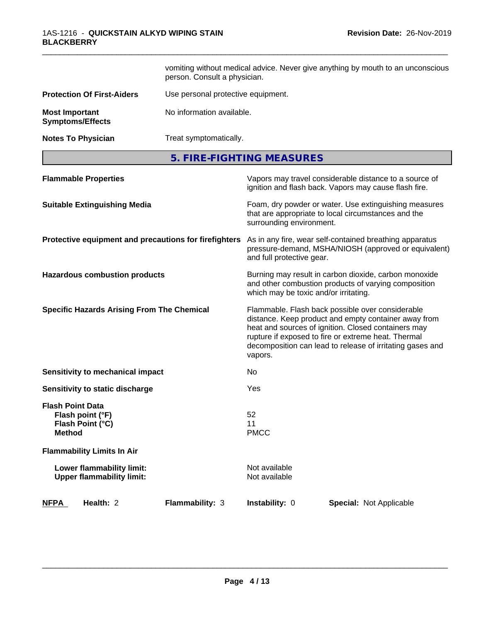|                                                                                  | vomiting without medical advice. Never give anything by mouth to an unconscious<br>person. Consult a physician. |                                       |                                                                                                                                                                                                                                                                                     |  |
|----------------------------------------------------------------------------------|-----------------------------------------------------------------------------------------------------------------|---------------------------------------|-------------------------------------------------------------------------------------------------------------------------------------------------------------------------------------------------------------------------------------------------------------------------------------|--|
| <b>Protection Of First-Aiders</b>                                                | Use personal protective equipment.                                                                              |                                       |                                                                                                                                                                                                                                                                                     |  |
| <b>Most Important</b><br><b>Symptoms/Effects</b>                                 | No information available.                                                                                       |                                       |                                                                                                                                                                                                                                                                                     |  |
| <b>Notes To Physician</b>                                                        | Treat symptomatically.                                                                                          |                                       |                                                                                                                                                                                                                                                                                     |  |
|                                                                                  |                                                                                                                 | 5. FIRE-FIGHTING MEASURES             |                                                                                                                                                                                                                                                                                     |  |
| <b>Flammable Properties</b>                                                      |                                                                                                                 |                                       | Vapors may travel considerable distance to a source of<br>ignition and flash back. Vapors may cause flash fire.                                                                                                                                                                     |  |
| <b>Suitable Extinguishing Media</b>                                              |                                                                                                                 | surrounding environment.              | Foam, dry powder or water. Use extinguishing measures<br>that are appropriate to local circumstances and the                                                                                                                                                                        |  |
| Protective equipment and precautions for firefighters                            |                                                                                                                 | and full protective gear.             | As in any fire, wear self-contained breathing apparatus<br>pressure-demand, MSHA/NIOSH (approved or equivalent)                                                                                                                                                                     |  |
| <b>Hazardous combustion products</b>                                             |                                                                                                                 | which may be toxic and/or irritating. | Burning may result in carbon dioxide, carbon monoxide<br>and other combustion products of varying composition                                                                                                                                                                       |  |
| <b>Specific Hazards Arising From The Chemical</b>                                |                                                                                                                 | vapors.                               | Flammable. Flash back possible over considerable<br>distance. Keep product and empty container away from<br>heat and sources of ignition. Closed containers may<br>rupture if exposed to fire or extreme heat. Thermal<br>decomposition can lead to release of irritating gases and |  |
| Sensitivity to mechanical impact                                                 |                                                                                                                 | No.                                   |                                                                                                                                                                                                                                                                                     |  |
| Sensitivity to static discharge                                                  |                                                                                                                 | Yes                                   |                                                                                                                                                                                                                                                                                     |  |
| <b>Flash Point Data</b><br>Flash point (°F)<br>Flash Point (°C)<br><b>Method</b> |                                                                                                                 | 52<br>11<br><b>PMCC</b>               |                                                                                                                                                                                                                                                                                     |  |
| <b>Flammability Limits In Air</b>                                                |                                                                                                                 |                                       |                                                                                                                                                                                                                                                                                     |  |
| Lower flammability limit:<br><b>Upper flammability limit:</b>                    |                                                                                                                 | Not available<br>Not available        |                                                                                                                                                                                                                                                                                     |  |
| Health: 2<br><b>NFPA</b>                                                         | Flammability: 3                                                                                                 | Instability: 0                        | <b>Special: Not Applicable</b>                                                                                                                                                                                                                                                      |  |

\_\_\_\_\_\_\_\_\_\_\_\_\_\_\_\_\_\_\_\_\_\_\_\_\_\_\_\_\_\_\_\_\_\_\_\_\_\_\_\_\_\_\_\_\_\_\_\_\_\_\_\_\_\_\_\_\_\_\_\_\_\_\_\_\_\_\_\_\_\_\_\_\_\_\_\_\_\_\_\_\_\_\_\_\_\_\_\_\_\_\_\_\_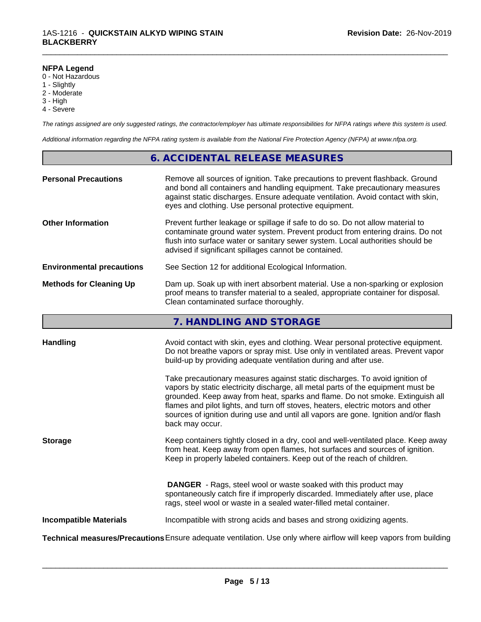### **NFPA Legend**

- 0 Not Hazardous
- 1 Slightly
- 2 Moderate
- 3 High
- 4 Severe

*The ratings assigned are only suggested ratings, the contractor/employer has ultimate responsibilities for NFPA ratings where this system is used.*

\_\_\_\_\_\_\_\_\_\_\_\_\_\_\_\_\_\_\_\_\_\_\_\_\_\_\_\_\_\_\_\_\_\_\_\_\_\_\_\_\_\_\_\_\_\_\_\_\_\_\_\_\_\_\_\_\_\_\_\_\_\_\_\_\_\_\_\_\_\_\_\_\_\_\_\_\_\_\_\_\_\_\_\_\_\_\_\_\_\_\_\_\_

*Additional information regarding the NFPA rating system is available from the National Fire Protection Agency (NFPA) at www.nfpa.org.*

## **6. ACCIDENTAL RELEASE MEASURES**

| <b>Personal Precautions</b>      | Remove all sources of ignition. Take precautions to prevent flashback. Ground<br>and bond all containers and handling equipment. Take precautionary measures<br>against static discharges. Ensure adequate ventilation. Avoid contact with skin,<br>eyes and clothing. Use personal protective equipment.  |
|----------------------------------|------------------------------------------------------------------------------------------------------------------------------------------------------------------------------------------------------------------------------------------------------------------------------------------------------------|
| <b>Other Information</b>         | Prevent further leakage or spillage if safe to do so. Do not allow material to<br>contaminate ground water system. Prevent product from entering drains. Do not<br>flush into surface water or sanitary sewer system. Local authorities should be<br>advised if significant spillages cannot be contained. |
| <b>Environmental precautions</b> | See Section 12 for additional Ecological Information.                                                                                                                                                                                                                                                      |
| <b>Methods for Cleaning Up</b>   | Dam up. Soak up with inert absorbent material. Use a non-sparking or explosion<br>proof means to transfer material to a sealed, appropriate container for disposal.<br>Clean contaminated surface thoroughly.                                                                                              |

## **7. HANDLING AND STORAGE**

| <b>Handling</b>               | Avoid contact with skin, eyes and clothing. Wear personal protective equipment.<br>Do not breathe vapors or spray mist. Use only in ventilated areas. Prevent vapor                                                                                                                                                  |
|-------------------------------|----------------------------------------------------------------------------------------------------------------------------------------------------------------------------------------------------------------------------------------------------------------------------------------------------------------------|
|                               | build-up by providing adequate ventilation during and after use.<br>Take precautionary measures against static discharges. To avoid ignition of<br>vapors by static electricity discharge, all metal parts of the equipment must be<br>grounded. Keep away from heat, sparks and flame. Do not smoke. Extinguish all |
|                               | flames and pilot lights, and turn off stoves, heaters, electric motors and other<br>sources of ignition during use and until all vapors are gone. Ignition and/or flash<br>back may occur.                                                                                                                           |
| <b>Storage</b>                | Keep containers tightly closed in a dry, cool and well-ventilated place. Keep away<br>from heat. Keep away from open flames, hot surfaces and sources of ignition.<br>Keep in properly labeled containers. Keep out of the reach of children.                                                                        |
|                               | <b>DANGER</b> - Rags, steel wool or waste soaked with this product may<br>spontaneously catch fire if improperly discarded. Immediately after use, place<br>rags, steel wool or waste in a sealed water-filled metal container.                                                                                      |
| <b>Incompatible Materials</b> | Incompatible with strong acids and bases and strong oxidizing agents.                                                                                                                                                                                                                                                |
|                               | Technical measures/Precautions Ensure adequate ventilation. Use only where airflow will keep vapors from building                                                                                                                                                                                                    |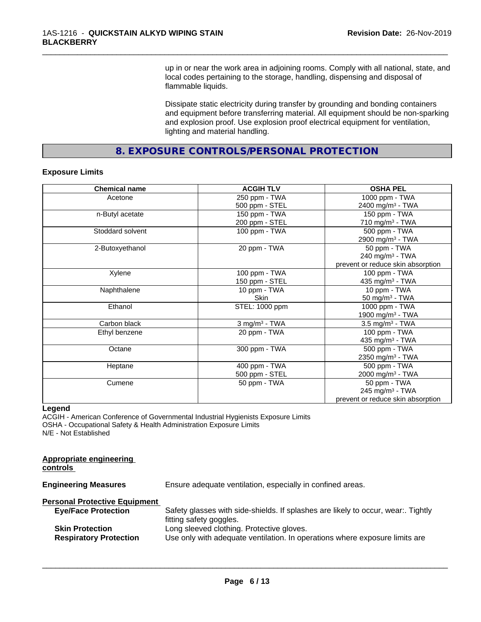up in or near the work area in adjoining rooms. Comply with all national, state, and local codes pertaining to the storage, handling, dispensing and disposal of flammable liquids.

\_\_\_\_\_\_\_\_\_\_\_\_\_\_\_\_\_\_\_\_\_\_\_\_\_\_\_\_\_\_\_\_\_\_\_\_\_\_\_\_\_\_\_\_\_\_\_\_\_\_\_\_\_\_\_\_\_\_\_\_\_\_\_\_\_\_\_\_\_\_\_\_\_\_\_\_\_\_\_\_\_\_\_\_\_\_\_\_\_\_\_\_\_

Dissipate static electricity during transfer by grounding and bonding containers and equipment before transferring material. All equipment should be non-sparking and explosion proof. Use explosion proof electrical equipment for ventilation, lighting and material handling.

**8. EXPOSURE CONTROLS/PERSONAL PROTECTION**

#### **Exposure Limits**

| <b>Chemical name</b> | <b>ACGIH TLV</b>   | <b>OSHA PEL</b>                   |
|----------------------|--------------------|-----------------------------------|
| Acetone              | 250 ppm - TWA      | 1000 ppm - TWA                    |
|                      | 500 ppm - STEL     | 2400 mg/m <sup>3</sup> - TWA      |
| n-Butyl acetate      | 150 ppm - TWA      | 150 ppm - TWA                     |
|                      | 200 ppm - STEL     | 710 mg/m $3$ - TWA                |
| Stoddard solvent     | 100 ppm - TWA      | 500 ppm - TWA                     |
|                      |                    | 2900 mg/m <sup>3</sup> - TWA      |
| 2-Butoxyethanol      | 20 ppm - TWA       | 50 ppm - TWA                      |
|                      |                    | 240 mg/m <sup>3</sup> - TWA       |
|                      |                    | prevent or reduce skin absorption |
| Xylene               | 100 ppm - TWA      | 100 ppm - TWA                     |
|                      | 150 ppm - STEL     | 435 mg/m <sup>3</sup> - TWA       |
| Naphthalene          | 10 ppm - TWA       | 10 ppm - TWA                      |
|                      | Skin               | 50 mg/m $3$ - TWA                 |
| Ethanol              | STEL: 1000 ppm     | 1000 ppm - TWA                    |
|                      |                    | 1900 mg/m <sup>3</sup> - TWA      |
| Carbon black         | $3$ mg/m $3$ - TWA | $3.5$ mg/m <sup>3</sup> - TWA     |
| Ethyl benzene        | 20 ppm - TWA       | 100 ppm - TWA                     |
|                      |                    | 435 mg/m <sup>3</sup> - TWA       |
| Octane               | 300 ppm - TWA      | 500 ppm - TWA                     |
|                      |                    | 2350 mg/m <sup>3</sup> - TWA      |
| Heptane              | 400 ppm - TWA      | 500 ppm - TWA                     |
|                      | 500 ppm - STEL     | 2000 mg/m <sup>3</sup> - TWA      |
| Cumene               | 50 ppm - TWA       | 50 ppm - TWA                      |
|                      |                    | 245 mg/m $3$ - TWA                |
|                      |                    | prevent or reduce skin absorption |

#### **Legend**

ACGIH - American Conference of Governmental Industrial Hygienists Exposure Limits OSHA - Occupational Safety & Health Administration Exposure Limits N/E - Not Established

| Ensure adequate ventilation, especially in confined areas.                                                               |
|--------------------------------------------------------------------------------------------------------------------------|
|                                                                                                                          |
| Safety glasses with side-shields. If splashes are likely to occur, wear Tightly<br>fitting safety goggles.               |
| Long sleeved clothing. Protective gloves.<br>Use only with adequate ventilation. In operations where exposure limits are |
|                                                                                                                          |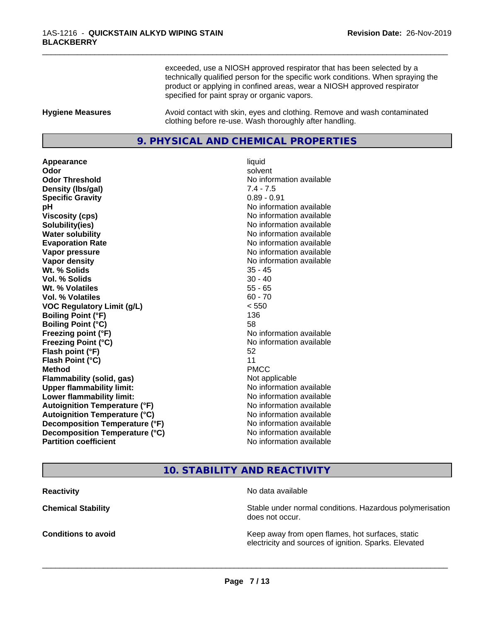exceeded, use a NIOSH approved respirator that has been selected by a technically qualified person for the specific work conditions. When spraying the product or applying in confined areas, wear a NIOSH approved respirator specified for paint spray or organic vapors.

\_\_\_\_\_\_\_\_\_\_\_\_\_\_\_\_\_\_\_\_\_\_\_\_\_\_\_\_\_\_\_\_\_\_\_\_\_\_\_\_\_\_\_\_\_\_\_\_\_\_\_\_\_\_\_\_\_\_\_\_\_\_\_\_\_\_\_\_\_\_\_\_\_\_\_\_\_\_\_\_\_\_\_\_\_\_\_\_\_\_\_\_\_

**Hygiene Measures** Avoid contact with skin, eyes and clothing. Remove and wash contaminated clothing before re-use. Wash thoroughly after handling.

## **9. PHYSICAL AND CHEMICAL PROPERTIES**

**Appearance** liquid **Odor** solvent **Odor Threshold** No information available **Density (lbs/gal)** 7.4 - 7.5 **Specific Gravity** 0.89 - 0.91 **pH** No information available **Viscosity (cps)** No information available **Solubility(ies)** No information available **Water solubility** No information available **Evaporation Rate No information available No information available Vapor pressure** No information available **No information** available **Vapor density No information available No information available Wt. % Solids** 35 - 45 **Vol. % Solids** 30 - 40 **Wt. % Volatiles** 55 - 65 **Vol. % Volatiles** 60 - 70 **VOC Regulatory Limit (g/L)** < 550 **Boiling Point (°F)** 136 **Boiling Point (°C)** 58 **Freezing point (°F)** No information available **Freezing Point (°C)** The state of the Monometer of Noinformation available **Flash point (°F)** 52 **Flash Point (°C)** 11 **Method** PMCC **Flammability (solid, gas)** Not applicable **Upper flammability limit:** No information available **Lower flammability limit:**  $\qquad \qquad \qquad$  No information available **Autoignition Temperature (°F)** No information available **Autoignition Temperature (°C)** No information available **Decomposition Temperature (°F)** No information available<br> **Decomposition Temperature (°C)** No information available **Decomposition Temperature (°C) Partition coefficient** No information available

## **10. STABILITY AND REACTIVITY**

**Reactivity** No data available

 $\overline{\phantom{a}}$  ,  $\overline{\phantom{a}}$  ,  $\overline{\phantom{a}}$  ,  $\overline{\phantom{a}}$  ,  $\overline{\phantom{a}}$  ,  $\overline{\phantom{a}}$  ,  $\overline{\phantom{a}}$  ,  $\overline{\phantom{a}}$  ,  $\overline{\phantom{a}}$  ,  $\overline{\phantom{a}}$  ,  $\overline{\phantom{a}}$  ,  $\overline{\phantom{a}}$  ,  $\overline{\phantom{a}}$  ,  $\overline{\phantom{a}}$  ,  $\overline{\phantom{a}}$  ,  $\overline{\phantom{a}}$ 

**Chemical Stability Stability** Stable under normal conditions. Hazardous polymerisation does not occur.

**Conditions to avoid Keep away from open flames, hot surfaces, static Conditions to avoid Keep away from open flames**, hot surfaces, static electricity and sources of ignition. Sparks. Elevated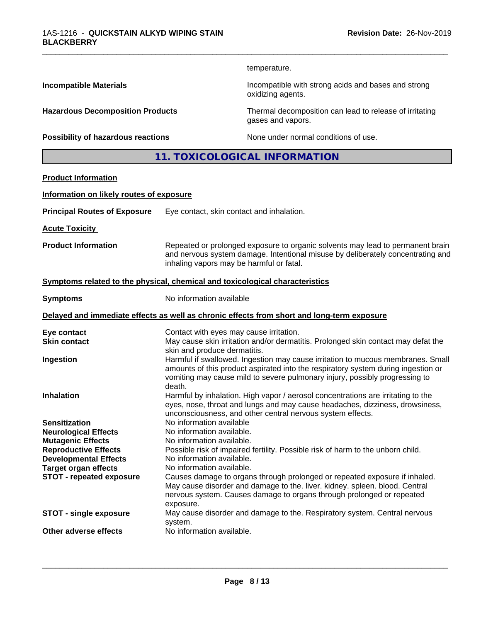temperature.

oxidizing agents.

gases and vapors.

\_\_\_\_\_\_\_\_\_\_\_\_\_\_\_\_\_\_\_\_\_\_\_\_\_\_\_\_\_\_\_\_\_\_\_\_\_\_\_\_\_\_\_\_\_\_\_\_\_\_\_\_\_\_\_\_\_\_\_\_\_\_\_\_\_\_\_\_\_\_\_\_\_\_\_\_\_\_\_\_\_\_\_\_\_\_\_\_\_\_\_\_\_

**Incompatible Materials Incompatible with strong acids and bases and strong** 

**Hazardous Decomposition Products** Thermal decomposition can lead to release of irritating

**Possibility of hazardous reactions** None under normal conditions of use.

**11. TOXICOLOGICAL INFORMATION**

## **Product Information**

#### **Information on likely routes of exposure**

| <b>Principal Routes of Exposure</b> | Eye contact, skin contact and inhalation. |
|-------------------------------------|-------------------------------------------|
|-------------------------------------|-------------------------------------------|

**Acute Toxicity** 

**Product Information** Repeated or prolonged exposure to organic solvents may lead to permanent brain and nervous system damage. Intentional misuse by deliberately concentrating and inhaling vapors may be harmful or fatal.

#### **<u>Symptoms related to the physical, chemical and toxicological characteristics</u>**

**Symptoms** No information available

#### **Delayed and immediate effects as well as chronic effects from short and long-term exposure**

| Eye contact                     | Contact with eyes may cause irritation.                                                                           |
|---------------------------------|-------------------------------------------------------------------------------------------------------------------|
| <b>Skin contact</b>             | May cause skin irritation and/or dermatitis. Prolonged skin contact may defat the<br>skin and produce dermatitis. |
|                                 |                                                                                                                   |
| Ingestion                       | Harmful if swallowed. Ingestion may cause irritation to mucous membranes. Small                                   |
|                                 | amounts of this product aspirated into the respiratory system during ingestion or                                 |
|                                 | vomiting may cause mild to severe pulmonary injury, possibly progressing to<br>death.                             |
| <b>Inhalation</b>               | Harmful by inhalation. High vapor / aerosol concentrations are irritating to the                                  |
|                                 | eyes, nose, throat and lungs and may cause headaches, dizziness, drowsiness,                                      |
|                                 | unconsciousness, and other central nervous system effects.                                                        |
| <b>Sensitization</b>            | No information available                                                                                          |
|                                 |                                                                                                                   |
| <b>Neurological Effects</b>     | No information available.                                                                                         |
| <b>Mutagenic Effects</b>        | No information available.                                                                                         |
| <b>Reproductive Effects</b>     | Possible risk of impaired fertility. Possible risk of harm to the unborn child.                                   |
| <b>Developmental Effects</b>    | No information available.                                                                                         |
| <b>Target organ effects</b>     | No information available.                                                                                         |
| <b>STOT - repeated exposure</b> | Causes damage to organs through prolonged or repeated exposure if inhaled.                                        |
|                                 | May cause disorder and damage to the. liver. kidney. spleen. blood. Central                                       |
|                                 | nervous system. Causes damage to organs through prolonged or repeated                                             |
|                                 | exposure.                                                                                                         |
|                                 |                                                                                                                   |
| <b>STOT - single exposure</b>   | May cause disorder and damage to the. Respiratory system. Central nervous<br>system.                              |
| Other adverse effects           | No information available.                                                                                         |
|                                 |                                                                                                                   |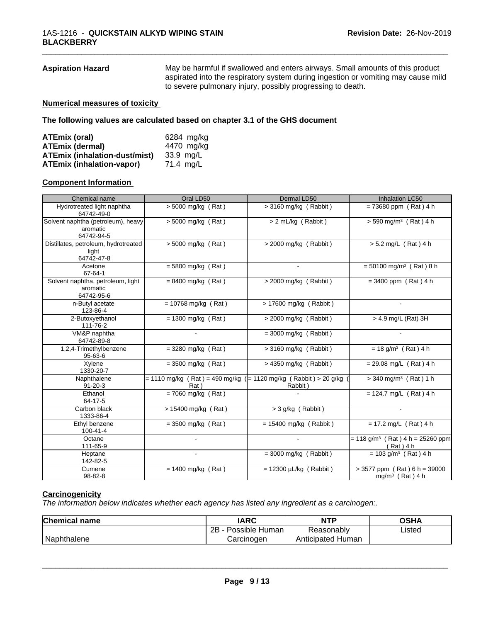**Aspiration Hazard** May be harmful if swallowed and enters airways. Small amounts of this product aspirated into the respiratory system during ingestion or vomiting may cause mild to severe pulmonary injury, possibly progressing to death.

\_\_\_\_\_\_\_\_\_\_\_\_\_\_\_\_\_\_\_\_\_\_\_\_\_\_\_\_\_\_\_\_\_\_\_\_\_\_\_\_\_\_\_\_\_\_\_\_\_\_\_\_\_\_\_\_\_\_\_\_\_\_\_\_\_\_\_\_\_\_\_\_\_\_\_\_\_\_\_\_\_\_\_\_\_\_\_\_\_\_\_\_\_

#### **Numerical measures of toxicity**

**The following values are calculated based on chapter 3.1 of the GHS document**

| ATEmix (oral)                        | 6284 mg/kg |
|--------------------------------------|------------|
| <b>ATEmix (dermal)</b>               | 4470 mg/kg |
| <b>ATEmix (inhalation-dust/mist)</b> | 33.9 mg/L  |
| <b>ATEmix (inhalation-vapor)</b>     | 71.4 mg/L  |

#### **Component Information**

| Chemical name                            | Oral LD50                                                            | Dermal LD50                 | <b>Inhalation LC50</b>                         |
|------------------------------------------|----------------------------------------------------------------------|-----------------------------|------------------------------------------------|
|                                          |                                                                      |                             |                                                |
| Hydrotreated light naphtha<br>64742-49-0 | $> 5000$ mg/kg (Rat)                                                 | $>$ 3160 mg/kg (Rabbit)     | $= 73680$ ppm (Rat) 4 h                        |
| Solvent naphtha (petroleum), heavy       | $> 5000$ mg/kg (Rat)                                                 | > 2 mL/kg (Rabbit)          | $> 590$ mg/m <sup>3</sup> (Rat) 4 h            |
| aromatic                                 |                                                                      |                             |                                                |
| 64742-94-5                               |                                                                      |                             |                                                |
| Distillates, petroleum, hydrotreated     | $> 5000$ mg/kg (Rat)                                                 | $>$ 2000 mg/kg (Rabbit)     | $> 5.2$ mg/L (Rat) 4 h                         |
| light                                    |                                                                      |                             |                                                |
| 64742-47-8                               |                                                                      |                             |                                                |
| Acetone                                  | $= 5800$ mg/kg (Rat)                                                 |                             | $= 50100$ mg/m <sup>3</sup> (Rat) 8 h          |
| 67-64-1                                  |                                                                      |                             |                                                |
| Solvent naphtha, petroleum, light        | $= 8400$ mg/kg (Rat)                                                 | $>$ 2000 mg/kg (Rabbit)     | $= 3400$ ppm (Rat) 4 h                         |
| aromatic                                 |                                                                      |                             |                                                |
| 64742-95-6                               |                                                                      |                             |                                                |
| n-Butyl acetate                          | $= 10768$ mg/kg (Rat)                                                | $> 17600$ mg/kg (Rabbit)    |                                                |
| 123-86-4                                 |                                                                      |                             |                                                |
|                                          |                                                                      |                             |                                                |
| 2-Butoxyethanol                          | $= 1300$ mg/kg (Rat)                                                 | $>$ 2000 mg/kg (Rabbit)     | > 4.9 mg/L (Rat) 3H                            |
| 111-76-2                                 |                                                                      |                             |                                                |
| VM&P naphtha                             |                                                                      | $=$ 3000 mg/kg (Rabbit)     |                                                |
| 64742-89-8                               |                                                                      |                             |                                                |
| 1,2,4-Trimethylbenzene                   | $=$ 3280 mg/kg (Rat)                                                 | $>$ 3160 mg/kg (Rabbit)     | $= 18$ g/m <sup>3</sup> (Rat) 4 h              |
| $95 - 63 - 6$                            |                                                                      |                             |                                                |
| Xylene                                   | $=$ 3500 mg/kg (Rat)                                                 | $>$ 4350 mg/kg (Rabbit)     | $= 29.08$ mg/L (Rat) 4 h                       |
| 1330-20-7                                |                                                                      |                             |                                                |
| Naphthalene                              | $= 1110$ mg/kg (Rat) = 490 mg/kg ( $= 1120$ mg/kg (Rabbit) > 20 g/kg |                             | $>$ 340 mg/m <sup>3</sup> (Rat) 1 h            |
| $91 - 20 - 3$                            | Rat)                                                                 | Rabbit)                     |                                                |
| Ethanol                                  | $= 7060$ mg/kg (Rat)                                                 |                             | $= 124.7$ mg/L (Rat) 4 h                       |
| 64-17-5                                  |                                                                      |                             |                                                |
| Carbon black                             | > 15400 mg/kg (Rat)                                                  | $>$ 3 g/kg (Rabbit)         |                                                |
| 1333-86-4                                |                                                                      |                             |                                                |
| Ethyl benzene                            | $= 3500$ mg/kg (Rat)                                                 | $= 15400$ mg/kg (Rabbit)    | $= 17.2$ mg/L (Rat) 4 h                        |
| $100 - 41 - 4$                           |                                                                      |                             |                                                |
| Octane                                   |                                                                      |                             | $= 118$ g/m <sup>3</sup> (Rat) 4 h = 25260 ppm |
| 111-65-9                                 |                                                                      |                             | (Rat ) 4 h                                     |
| Heptane                                  |                                                                      | $=$ 3000 mg/kg (Rabbit)     | $= 103$ g/m <sup>3</sup> (Rat) 4 h             |
| 142-82-5                                 |                                                                      |                             |                                                |
|                                          |                                                                      |                             |                                                |
| Cumene                                   | $= 1400$ mg/kg (Rat)                                                 | $= 12300 \mu L/kg$ (Rabbit) | $> 3577$ ppm (Rat) 6 h = 39000                 |
| 98-82-8                                  |                                                                      |                             | $mg/m3$ (Rat) 4 h                              |

## **Carcinogenicity**

*The information below indicateswhether each agency has listed any ingredient as a carcinogen:.*

| <b>Chemical name</b> | <b>IARC</b>          | <b>NTP</b>           | OSHA   |  |
|----------------------|----------------------|----------------------|--------|--|
|                      | 2B<br>Possible Human | Reasonably           | Listed |  |
| Naphthalene          | Carcinogen           | Human<br>Anticipated |        |  |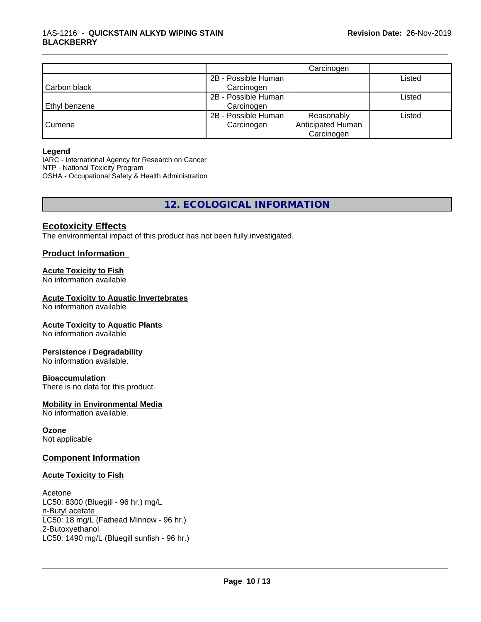|               |                     | Carcinogen        |        |
|---------------|---------------------|-------------------|--------|
|               | 2B - Possible Human |                   | Listed |
| Carbon black  | Carcinogen          |                   |        |
|               | 2B - Possible Human |                   | Listed |
| Ethyl benzene | Carcinogen          |                   |        |
|               | 2B - Possible Human | Reasonably        | Listed |
| Cumene        | Carcinogen          | Anticipated Human |        |
|               |                     | Carcinogen        |        |

\_\_\_\_\_\_\_\_\_\_\_\_\_\_\_\_\_\_\_\_\_\_\_\_\_\_\_\_\_\_\_\_\_\_\_\_\_\_\_\_\_\_\_\_\_\_\_\_\_\_\_\_\_\_\_\_\_\_\_\_\_\_\_\_\_\_\_\_\_\_\_\_\_\_\_\_\_\_\_\_\_\_\_\_\_\_\_\_\_\_\_\_\_

#### **Legend**

IARC - International Agency for Research on Cancer NTP - National Toxicity Program OSHA - Occupational Safety & Health Administration

## **12. ECOLOGICAL INFORMATION**

## **Ecotoxicity Effects**

The environmental impact of this product has not been fully investigated.

## **Product Information**

### **Acute Toxicity to Fish**

No information available

### **Acute Toxicity to Aquatic Invertebrates**

No information available

#### **Acute Toxicity to Aquatic Plants**

No information available

#### **Persistence / Degradability**

No information available.

#### **Bioaccumulation**

There is no data for this product.

#### **Mobility in Environmental Media**

No information available.

#### **Ozone**

Not applicable

## **Component Information**

#### **Acute Toxicity to Fish**

Acetone LC50: 8300 (Bluegill - 96 hr.) mg/L n-Butyl acetate LC50: 18 mg/L (Fathead Minnow - 96 hr.) 2-Butoxyethanol \_\_\_\_\_\_\_\_\_\_\_\_\_\_\_\_\_\_\_\_\_\_\_\_\_\_\_\_\_\_\_\_\_\_\_\_\_\_\_\_\_\_\_\_\_\_\_\_\_\_\_\_\_\_\_\_\_\_\_\_\_\_\_\_\_\_\_\_\_\_\_\_\_\_\_\_\_\_\_\_\_\_\_\_\_\_\_\_\_\_\_\_\_ LC50: 1490 mg/L (Bluegill sunfish - 96 hr.)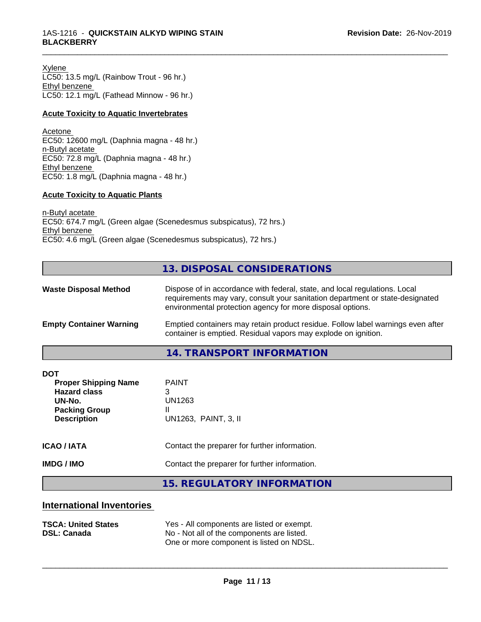Xylene LC50: 13.5 mg/L (Rainbow Trout - 96 hr.) Ethyl benzene LC50: 12.1 mg/L (Fathead Minnow - 96 hr.)

#### **Acute Toxicity to Aquatic Invertebrates**

Acetone EC50: 12600 mg/L (Daphnia magna - 48 hr.) n-Butyl acetate EC50: 72.8 mg/L (Daphnia magna - 48 hr.) Ethyl benzene EC50: 1.8 mg/L (Daphnia magna - 48 hr.)

#### **Acute Toxicity to Aquatic Plants**

n-Butyl acetate EC50: 674.7 mg/L (Green algae (Scenedesmus subspicatus), 72 hrs.) Ethyl benzene EC50: 4.6 mg/L (Green algae (Scenedesmus subspicatus), 72 hrs.)

## **13. DISPOSAL CONSIDERATIONS**

\_\_\_\_\_\_\_\_\_\_\_\_\_\_\_\_\_\_\_\_\_\_\_\_\_\_\_\_\_\_\_\_\_\_\_\_\_\_\_\_\_\_\_\_\_\_\_\_\_\_\_\_\_\_\_\_\_\_\_\_\_\_\_\_\_\_\_\_\_\_\_\_\_\_\_\_\_\_\_\_\_\_\_\_\_\_\_\_\_\_\_\_\_

| <b>Waste Disposal Method</b>   | Dispose of in accordance with federal, state, and local regulations. Local<br>requirements may vary, consult your sanitation department or state-designated<br>environmental protection agency for more disposal options. |  |
|--------------------------------|---------------------------------------------------------------------------------------------------------------------------------------------------------------------------------------------------------------------------|--|
| <b>Empty Container Warning</b> | Emptied containers may retain product residue. Follow label warnings even after<br>container is emptied. Residual vapors may explode on ignition.                                                                         |  |
|                                | 11 TO ANCOODT INITODIAATIONI                                                                                                                                                                                              |  |

**14. TRANSPORT INFORMATION**

| <b>DOT</b><br><b>Proper Shipping Name</b><br><b>Hazard class</b><br>UN-No.<br><b>Packing Group</b><br><b>Description</b> | <b>PAINT</b><br>3<br>UN1263<br>UN1263, PAINT, 3, II |
|--------------------------------------------------------------------------------------------------------------------------|-----------------------------------------------------|
| <b>ICAO/IATA</b>                                                                                                         | Contact the preparer for further information.       |
| <b>IMDG / IMO</b>                                                                                                        | Contact the preparer for further information.       |
|                                                                                                                          | 15 DECHLATODY INFODIAATION                          |

## **15. REGULATORY INFORMATION**

## **International Inventories**

| <b>TSCA: United States</b> | Yes - All components are listed or exempt. |
|----------------------------|--------------------------------------------|
| <b>DSL: Canada</b>         | No - Not all of the components are listed. |
|                            | One or more component is listed on NDSL.   |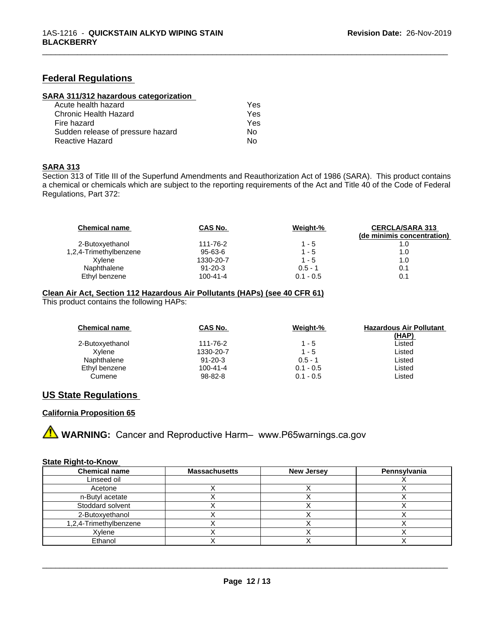## **Federal Regulations**

| SARA 311/312 hazardous categorization |  |
|---------------------------------------|--|
|                                       |  |

| Acute health hazard               | Yes. |
|-----------------------------------|------|
| Chronic Health Hazard             | Yes  |
| Fire hazard                       | Yes  |
| Sudden release of pressure hazard | N٥   |
| Reactive Hazard                   | N٥   |

#### **SARA 313**

Section 313 of Title III of the Superfund Amendments and Reauthorization Act of 1986 (SARA). This product contains a chemical or chemicals which are subject to the reporting requirements of the Act and Title 40 of the Code of Federal Regulations, Part 372:

\_\_\_\_\_\_\_\_\_\_\_\_\_\_\_\_\_\_\_\_\_\_\_\_\_\_\_\_\_\_\_\_\_\_\_\_\_\_\_\_\_\_\_\_\_\_\_\_\_\_\_\_\_\_\_\_\_\_\_\_\_\_\_\_\_\_\_\_\_\_\_\_\_\_\_\_\_\_\_\_\_\_\_\_\_\_\_\_\_\_\_\_\_

| <b>Chemical name</b>   | CAS No.        | Weight-%    | <b>CERCLA/SARA 313</b><br>(de minimis concentration) |
|------------------------|----------------|-------------|------------------------------------------------------|
| 2-Butoxyethanol        | 111-76-2       | $1 - 5$     |                                                      |
| 1,2,4-Trimethylbenzene | 95-63-6        | $1 - 5$     | 1.0                                                  |
| Xvlene                 | 1330-20-7      | $1 - 5$     | 1.0                                                  |
| Naphthalene            | $91 - 20 - 3$  | $0.5 - 1$   | 0.1                                                  |
| Ethyl benzene          | $100 - 41 - 4$ | $0.1 - 0.5$ | 0.1                                                  |

#### **Clean Air Act,Section 112 Hazardous Air Pollutants (HAPs) (see 40 CFR 61)**

This product contains the following HAPs:

| <b>Chemical name</b> | CAS No.       | Weight-%    | <b>Hazardous Air Pollutant</b><br>(HAP) |
|----------------------|---------------|-------------|-----------------------------------------|
| 2-Butoxyethanol      | 111-76-2      | $1 - 5$     | Listed                                  |
| Xvlene               | 1330-20-7     | $1 - 5$     | Listed                                  |
| Naphthalene          | $91 - 20 - 3$ | $0.5 - 1$   | Listed                                  |
| Ethyl benzene        | 100-41-4      | $0.1 - 0.5$ | Listed                                  |
| Cumene               | $98 - 82 - 8$ | $0.1 - 0.5$ | Listed                                  |

## **US State Regulations**

## **California Proposition 65**



### **State Right-to-Know**

| <b>Chemical name</b>      | <b>Massachusetts</b> | <b>New Jersey</b> | Pennsylvania |
|---------------------------|----------------------|-------------------|--------------|
| Linseed oil               |                      |                   |              |
| Acetone                   |                      |                   |              |
| n-Butyl acetate           |                      |                   |              |
| Stoddard solvent          |                      |                   |              |
| 2-Butoxyethanol           |                      |                   |              |
| $1,2,4$ -Trimethylbenzene |                      |                   |              |
| Xylene                    |                      |                   |              |
| Ethanol                   |                      |                   |              |